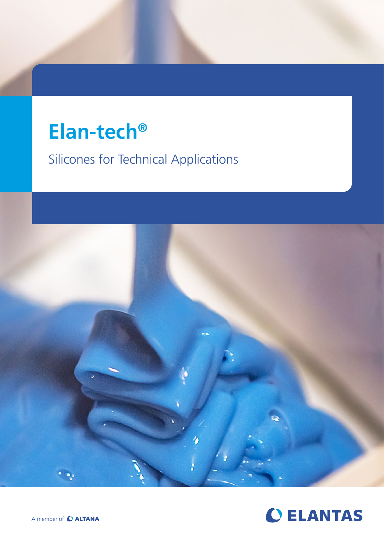# **Elan-tech®**

Silicones for Technical Applications



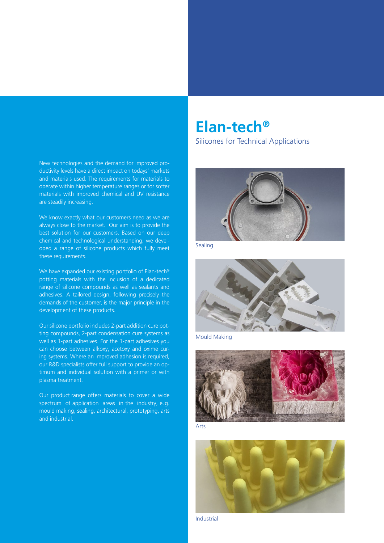New technologies and the demand for improved productivity levels have a direct impact on todays' markets and materials used. The requirements for materials to operate within higher temperature ranges or for softer materials with improved chemical and UV resistance are steadily increasing.

We know exactly what our customers need as we are always close to the market. Our aim is to provide the best solution for our customers. Based on our deep chemical and technological understanding, we developed a range of silicone products which fully meet these requirements.

We have expanded our existing portfolio of Elan-tech<sup>®</sup> potting materials with the inclusion of a dedicated range of silicone compounds as well as sealants and adhesives. A tailored design, following precisely the demands of the customer, is the major principle in the development of these products.

Our silicone portfolio includes 2-part addition cure potting compounds, 2-part condensation cure systems as well as 1-part adhesives. For the 1-part adhesives you can choose between alkoxy, acetoxy and oxime curing systems. Where an improved adhesion is required, our R&D specialists offer full support to provide an optimum and individual solution with a primer or with plasma treatment.

Our product range offers materials to cover a wide spectrum of application areas in the industry, e.g. mould making, sealing, architectural, prototyping, arts and industrial.

## **Elan-tech®**

Silicones for Technical Applications



Sealing



Mould Making





Industrial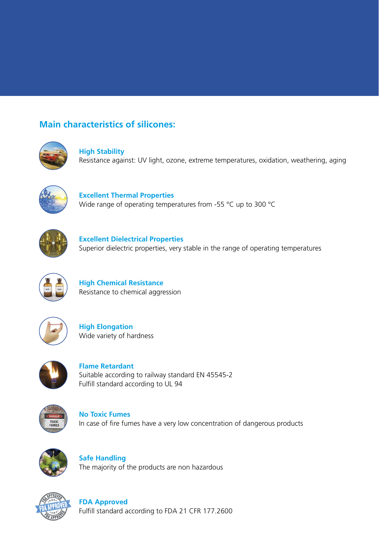## **Main characteristics of silicones:**



**High Stability** Resistance against: UV light, ozone, extreme temperatures, oxidation, weathering, aging



**Excellent Thermal Properties**  Wide range of operating temperatures from -55 °C up to 300 °C



**Excellent Dielectrical Properties** Superior dielectric properties, very stable in the range of operating temperatures



**High Chemical Resistance**  Resistance to chemical aggression



**High Elongation** Wide variety of hardness



**Flame Retardant**  Suitable according to railway standard EN 45545-2 Fulfill standard according to UL 94



**No Toxic Fumes**  In case of fire fumes have a very low concentration of dangerous products



**Safe Handling**  The majority of the products are non hazardous



**FDA Approved** Fulfill standard according to FDA 21 CFR 177.2600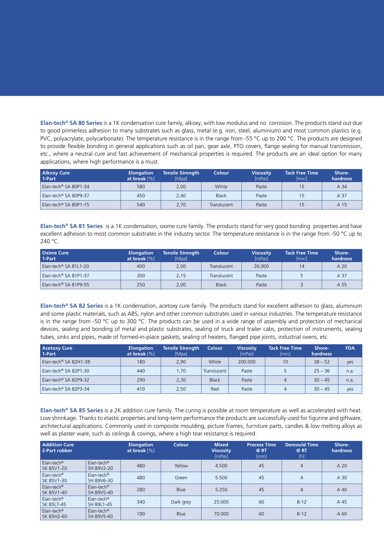**Elan-tech® SA 80 Series** is a 1K condensation cure family, alkoxy, with low modulus and no corrosion. The products stand out due to good primerless adhesion to many substrates such as glass, metal (e.g. iron, steel, aluminium) and most common plastics (e.g. PVC, polyacrylate, polycarbonate). The temperature resistance is in the range from -55 °C up to 200 °C. The products are designed to provide flexible bonding in general applications such as oil pan, gear axle, PTO covers, flange sealing for manual transmission, etc., where a neutral cure and fast achievement of mechanical properties is required. The products are an ideal option for many applications, where high performance is a must.

| <b>Alkoxy Cure</b><br>1-Part | <b>Elongation</b><br>at break $[%]$ | <b>Tensile Strength</b><br>[Mpa] | <b>Colour</b> | <b>Viscosity</b><br><b>ImPasl</b> | <b>Tack Free Time</b><br>[min] | Shore-<br>hardness |
|------------------------------|-------------------------------------|----------------------------------|---------------|-----------------------------------|--------------------------------|--------------------|
| Elan-tech® SA 80P1-34        | 580                                 | 2.00                             | White         | Paste                             | 15                             | A 34               |
| Elan-tech® SA 80P9-37        | 450                                 | 2.40                             | <b>Black</b>  | Paste                             | 15                             | A 37               |
| Elan-tech® SA 80P1-15        | 540                                 | 2.70                             | Translucent   | Paste                             | 15                             | A 15               |

**Elan-tech® SA 81 Series** is a 1K condensation, oxime cure family. The products stand for very good bonding properties and have excellent adhesion to most common substrates in the industry sector. The temperature resistance is in the range from -50 °C up to 240 °C.

| <b>Oxime Cure</b><br>1-Part       | <b>Elongation</b><br>at break $[%]$ | Tensile Strength<br>[Mpa] | <b>Colour</b> | <b>Viscosity</b><br>[mPas] | <b>Tack Free Time</b><br><i>[min]</i> | Shore-<br>hardness |
|-----------------------------------|-------------------------------------|---------------------------|---------------|----------------------------|---------------------------------------|--------------------|
| Elan-tech <sup>®</sup> SA 81L1-20 | 400                                 | 2.00                      | Translucent   | 26,000                     | 14                                    | A 20               |
| Elan-tech <sup>®</sup> SA 81P1-37 | 300                                 | 2.15                      | Translucent   | Paste                      |                                       | A 37               |
| Elan-tech <sup>®</sup> SA 81P9-55 | 250                                 | 2,00                      | <b>Black</b>  | Paste                      |                                       | A 55               |

**Elan-tech® SA 82 Series** is a 1K condensation, acetoxy cure family. The products stand for excellent adhesion to glass, aluminium and some plastic materials, such as ABS, nylon and other common substrates used in various industries. The temperature resistance is in the range from -50 °C up to 300 °C. The products can be used in a wide range of assembly and protection of mechanical devices, sealing and bonding of metal and plastic substrates, sealing of truck and trailer cabs, protection of instruments, sealing tubes, sinks and pipes, made of formed-in-place gaskets, sealing of heaters, flanged pipe joints, industrial ovens, etc.

| <b>Acetoxy Cure</b><br>1-Part | <b>Elongation</b><br>at break $[%]$ | Tensile Strength<br>[Mpa] | <b>Colour</b> | <b>Viscosity</b><br>[mPas] | <b>Tack Free Time</b><br>[min] | Shore-<br>hardness | <b>FDA</b> |
|-------------------------------|-------------------------------------|---------------------------|---------------|----------------------------|--------------------------------|--------------------|------------|
| Elan-tech® SA 82H1-38         | 180                                 | 2,90                      | White         | 200,000                    | 10                             | $38 - 52$          | yes        |
| Elan-tech® SA 82P1-30         | 440                                 | 1.70                      | Translucent   | Paste                      |                                | $25 - 36$          | n.a.       |
| Elan-tech® SA 82P9-32         | 290                                 | 2,30                      | <b>Black</b>  | Paste                      | 4                              | $30 - 45$          | n.a.       |
| Elan-tech® SA 82P3-34         | 410                                 | 2,50                      | Red           | Paste                      | 4                              | $30 - 45$          | yes        |

**Elan-tech® SA 85 Series** is a 2K addition cure family. The curing is possible at room temperature as well as accelerated with heat. Low shrinkage. Thanks to elastic properties and long-term performance the products are successfully used for figurine and giftware, architectural applications. Commonly used in composite moulding, picture frames, furniture parts, candles & low melting alloys as well as plaster ware, such as ceilings & covings, where a high tear resistance is required.

| <b>Addition Cure</b><br>2-Part rubber |                                               | <b>Elongation</b><br>at break $[\%]$ | <b>Colour</b> | <b>Mixed</b><br><b>Viscosity</b><br>[mPas] | <b>Process Time</b><br>@RT<br>[min] | <b>Demould Time</b><br>@RT<br>[h] | Shore-<br><b>hardness</b> |
|---------------------------------------|-----------------------------------------------|--------------------------------------|---------------|--------------------------------------------|-------------------------------------|-----------------------------------|---------------------------|
| $Elan\text{-}tech®$<br>SK 85V1-20     | Elan-tech <sup>®</sup><br>SH 89V2-20          | 480                                  | Yellow        | 4.500                                      | 45                                  | $\overline{4}$                    | A 20                      |
| $Elan\text{-}tech®$<br>SK 85V1-30     | Elan-tech <sup>®</sup><br>SH 89V6-30          | 480                                  | Green         | 5.500                                      | 45                                  | $\overline{4}$                    | A 30                      |
| $Elan\text{-}tech®$<br>SK 85V1-40     | $Elan\text{-}tech$ <sup>®</sup><br>SH 89V5-40 | 280                                  | <b>Blue</b>   | 5.250                                      | 45                                  | 4                                 | A 40                      |
| $Elan\text{-}tech®$<br>SK 85L7-45     | $Elan\text{-}tech®$<br>SH 89L1-45             | 340                                  | Dark grey     | 25,000                                     | 60                                  | $8 - 12$                          | A 45                      |
| $Elan\text{-}tech®$<br>SK 85H2-60     | Elan-tech <sup>®</sup><br>SH 89V5-60          | 190                                  | <b>Blue</b>   | 70,000                                     | 60                                  | $8 - 12$                          | A 60                      |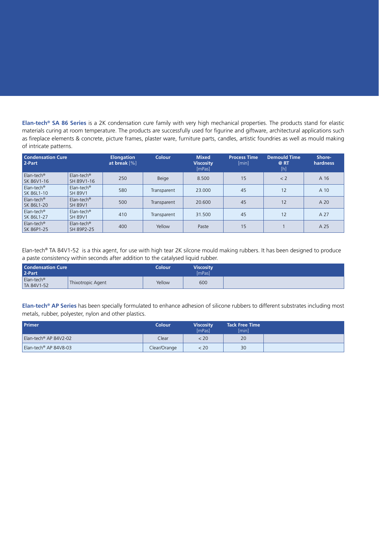**Elan-tech® SA 86 Series** is a 2K condensation cure family with very high mechanical properties. The products stand for elastic materials curing at room temperature. The products are successfully used for figurine and giftware, architectural applications such as fireplace elements & concrete, picture frames, plaster ware, furniture parts, candles, artistic foundries as well as mould making of intricate patterns.

| <b>Condensation Cure</b><br>2-Part   |                                          | <b>Elongation</b><br>at break $[%]$ | <b>Colour</b> | <b>Mixed</b><br><b>Viscosity</b><br>[mPas] | <b>Process Time</b><br>[min] | <b>Demould Time</b><br>@ RT<br>[h] | Shore-<br><b>hardness</b> |
|--------------------------------------|------------------------------------------|-------------------------------------|---------------|--------------------------------------------|------------------------------|------------------------------------|---------------------------|
| Elan-tech <sup>®</sup><br>SK 86V1-16 | $Elan\text{-}tech®$<br>SH 89V1-16        | 250                                 | Beige         | 8.500                                      | 15                           | < 2                                | A 16                      |
| Elan-tech <sup>®</sup><br>SK 86L1-10 | Elan-tech <sup>®</sup><br><b>SH 89V1</b> | 580                                 | Transparent   | 23,000                                     | 45                           | 12                                 | A 10                      |
| Elan-tech <sup>®</sup><br>SK 86L1-20 | $Elan\text{-}tech®$<br><b>SH 89V1</b>    | 500                                 | Transparent   | 20,600                                     | 45                           | 12                                 | A 20                      |
| Elan-tech <sup>®</sup><br>SK 86L1-27 | $Elan\text{-}tech®$<br><b>SH 89V1</b>    | 410                                 | Transparent   | 31.500                                     | 45                           | 12                                 | A 27                      |
| Elan-tech <sup>®</sup><br>SK 86P1-25 | $Elan\text{-}tech®$<br>SH 89P2-25        | 400                                 | Yellow        | Paste                                      | 15                           |                                    | A 25                      |

Elan-tech® TA 84V1-52 is a thix agent, for use with high tear 2K silcone mould making rubbers. It has been designed to produce a paste consistency within seconds after addition to the catalysed liquid rubber.

| <b>Condensation Cure</b><br>2-Part   |                   | <b>Colour</b> | <b>Viscosity</b><br><b>ImPasi</b> |  |
|--------------------------------------|-------------------|---------------|-----------------------------------|--|
| Elan-tech <sup>®</sup><br>TA 84V1-52 | Thixotropic Agent | Yellow        | 600                               |  |

**Elan-tech® AP Series** has been specially formulated to enhance adhesion of silicone rubbers to different substrates including most metals, rubber, polyester, nylon and other plastics.

| <b>Primer</b>                     | <b>Colour</b> | <b>Viscosity</b><br><b>ImPasl</b> | <b>Tack Free Time</b><br>[min] |  |
|-----------------------------------|---------------|-----------------------------------|--------------------------------|--|
| Elan-tech <sup>®</sup> AP 84V2-02 | Clear         | < 20                              | 20                             |  |
| Elan-tech® AP 84V8-03             | Clear/Orange  | < 20                              | 30                             |  |